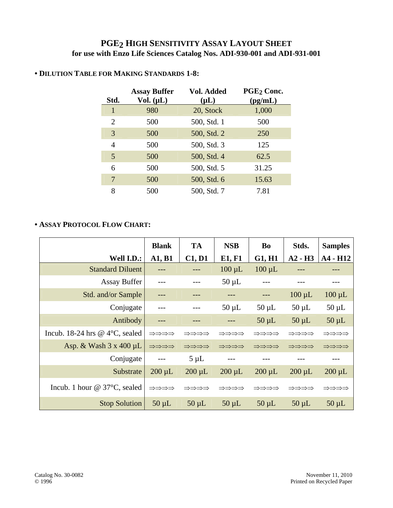## **PGE2 HIGH SENSITIVITY ASSAY LAYOUT SHEET for use with Enzo Life Sciences Catalog Nos. ADI-930-001 and ADI-931-001**

|      | <b>Assay Buffer</b> | Vol. Added  | PGE <sub>2</sub> Conc. |
|------|---------------------|-------------|------------------------|
| Std. | Vol. $(\mu L)$      | $(\mu L)$   | (pg/mL)                |
| 1    | 980                 | 20, Stock   | 1,000                  |
| 2    | 500                 | 500, Std. 1 | 500                    |
| 3    | 500                 | 500, Std. 2 | 250                    |
| 4    | 500                 | 500, Std. 3 | 125                    |
| 5    | 500                 | 500, Std. 4 | 62.5                   |
| 6    | 500                 | 500, Std. 5 | 31.25                  |
| 7    | 500                 | 500, Std. 6 | 15.63                  |
| 8    | 500                 | 500, Std. 7 | 7.81                   |

## **• DILUTION TABLE FOR MAKING STANDARDS 1-8:**

## **• ASSAY PROTOCOL FLOW CHART:**

|                                          | <b>Blank</b> | <b>TA</b>   | <b>NSB</b>  | <b>Bo</b>   | Stds.       | <b>Samples</b> |
|------------------------------------------|--------------|-------------|-------------|-------------|-------------|----------------|
| Well I.D.:                               | A1, B1       | C1, D1      | E1, F1      | G1, H1      | $A2 - H3$   | A4 - H12       |
| <b>Standard Diluent</b>                  |              |             | $100 \mu L$ | $100 \mu L$ |             |                |
| <b>Assay Buffer</b>                      |              |             | $50 \mu L$  |             |             |                |
| Std. and/or Sample                       |              |             |             |             | $100 \mu L$ | $100 \mu L$    |
| Conjugate                                |              |             | $50 \mu L$  | $50 \mu L$  | $50 \mu L$  | $50 \mu L$     |
| Antibody                                 |              |             |             | $50 \mu L$  | $50 \mu L$  | $50 \mu L$     |
| Incub. 18-24 hrs @ $4^{\circ}$ C, sealed | ⇒⇒⇒⇒         | ⇒⇒⇒⇒        | ⇒⇒⇒⇒        | ⇒⇒⇒⇒        | ⇒⇒⇒⇒        | ⇒⇒⇒⇒           |
| Asp. & Wash $3 \times 400 \mu L$         | ⇒⇒⇒⇒         | ⇒⇒⇒⇒        | ⇒⇒⇒⇒        | ⇒⇒⇒⇒        | ⇒⇒⇒⇒        | ⇒⇒⇒⇒           |
| Conjugate                                | $---$        | $5 \mu L$   | $---$       |             |             |                |
| Substrate                                | $200 \mu L$  | $200 \mu L$ | $200 \mu L$ | $200 \mu L$ | $200 \mu L$ | $200 \mu L$    |
| Incub. 1 hour $@$ 37 $°C$ , sealed       | ⇒⇒⇒⇒         | ⇒⇒⇒⇒        | ⇒⇒⇒⇒        | ⇒⇒⇒⇒        | ⇒⇒⇒⇒        | ⇒⇒⇒⇒           |
| <b>Stop Solution</b>                     | $50 \mu L$   | $50 \mu L$  | $50 \mu L$  | $50 \mu L$  | $50 \mu L$  | $50 \mu L$     |